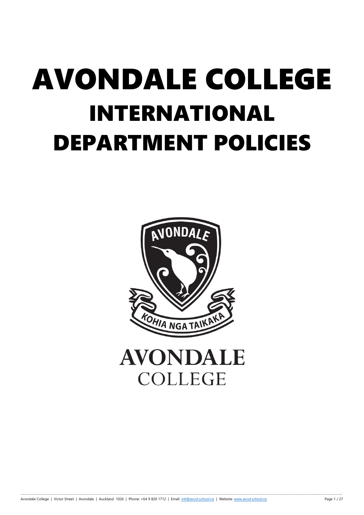# AVONDALE COLLEGE INTERNATIONAL DEPARTMENT POLICIES

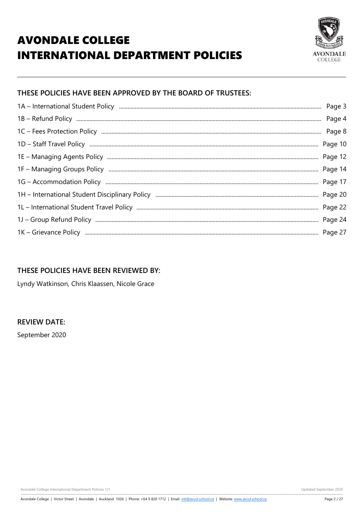# **AVONDALE COLLEGE INTERNATIONAL DEPARTMENT POLICIES**



# THESE POLICIES HAVE BEEN APPROVED BY THE BOARD OF TRUSTEES:

| Page 3 |
|--------|
| Page 4 |
| Page 8 |
|        |
|        |
|        |
|        |
|        |
|        |
|        |
|        |

# THESE POLICIES HAVE BEEN REVIEWED BY:

Lyndy Watkinson, Chris Klaassen, Nicole Grace

#### **REVIEW DATE:**

September 2020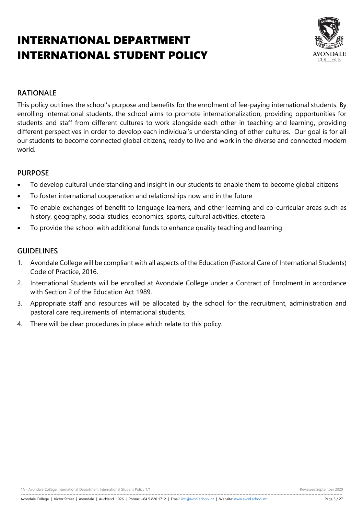# INTERNATIONAL DEPARTMENT INTERNATIONAL STUDENT POLICY



### **RATIONALE**

This policy outlines the school's purpose and benefits for the enrolment of fee-paying international students. By enrolling international students, the school aims to promote internationalization, providing opportunities for students and staff from different cultures to work alongside each other in teaching and learning, providing different perspectives in order to develop each individual's understanding of other cultures. Our goal is for all our students to become connected global citizens, ready to live and work in the diverse and connected modern world.

#### **PURPOSE**

- To develop cultural understanding and insight in our students to enable them to become global citizens
- To foster international cooperation and relationships now and in the future
- To enable exchanges of benefit to language learners, and other learning and co-curricular areas such as history, geography, social studies, economics, sports, cultural activities, etcetera
- To provide the school with additional funds to enhance quality teaching and learning

#### **GUIDELINES**

- 1. Avondale College will be compliant with all aspects of the Education (Pastoral Care of International Students) Code of Practice, 2016.
- 2. International Students will be enrolled at Avondale College under a Contract of Enrolment in accordance with Section 2 of the Education Act 1989.
- 3. Appropriate staff and resources will be allocated by the school for the recruitment, administration and pastoral care requirements of international students.
- 4. There will be clear procedures in place which relate to this policy.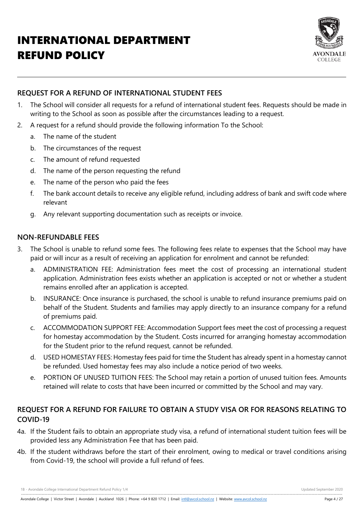# INTERNATIONAL DEPARTMENT REFUND POLICY



# **REQUEST FOR A REFUND OF INTERNATIONAL STUDENT FEES**

- 1. The School will consider all requests for a refund of international student fees. Requests should be made in writing to the School as soon as possible after the circumstances leading to a request.
- 2. A request for a refund should provide the following information To the School:
	- a. The name of the student
	- b. The circumstances of the request
	- c. The amount of refund requested
	- d. The name of the person requesting the refund
	- e. The name of the person who paid the fees
	- f. The bank account details to receive any eligible refund, including address of bank and swift code where relevant
	- g. Any relevant supporting documentation such as receipts or invoice.

# **NON-REFUNDABLE FEES**

- 3. The School is unable to refund some fees. The following fees relate to expenses that the School may have paid or will incur as a result of receiving an application for enrolment and cannot be refunded:
	- a. ADMINISTRATION FEE: Administration fees meet the cost of processing an international student application. Administration fees exists whether an application is accepted or not or whether a student remains enrolled after an application is accepted.
	- b. INSURANCE: Once insurance is purchased, the school is unable to refund insurance premiums paid on behalf of the Student. Students and families may apply directly to an insurance company for a refund of premiums paid.
	- c. ACCOMMODATION SUPPORT FEE: Accommodation Support fees meet the cost of processing a request for homestay accommodation by the Student. Costs incurred for arranging homestay accommodation for the Student prior to the refund request, cannot be refunded.
	- d. USED HOMESTAY FEES: Homestay fees paid for time the Student has already spent in a homestay cannot be refunded. Used homestay fees may also include a notice period of two weeks.
	- e. PORTION OF UNUSED TUITION FEES: The School may retain a portion of unused tuition fees. Amounts retained will relate to costs that have been incurred or committed by the School and may vary.

# **REQUEST FOR A REFUND FOR FAILURE TO OBTAIN A STUDY VISA OR FOR REASONS RELATING TO COVID-19**

- 4a. If the Student fails to obtain an appropriate study visa, a refund of international student tuition fees will be provided less any Administration Fee that has been paid.
- 4b. If the student withdraws before the start of their enrolment, owing to medical or travel conditions arising from Covid-19, the school will provide a full refund of fees.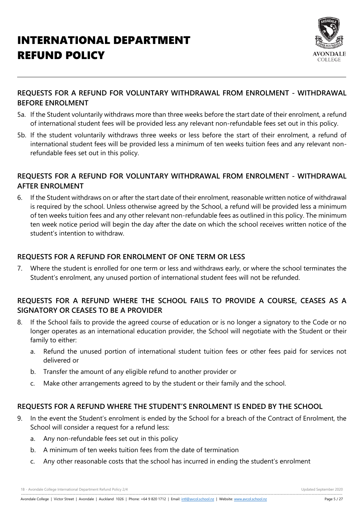

# **REQUESTS FOR A REFUND FOR VOLUNTARY WITHDRAWAL FROM ENROLMENT - WITHDRAWAL BEFORE ENROLMENT**

- 5a. If the Student voluntarily withdraws more than three weeks before the start date of their enrolment, a refund of international student fees will be provided less any relevant non-refundable fees set out in this policy.
- 5b. If the student voluntarily withdraws three weeks or less before the start of their enrolment, a refund of international student fees will be provided less a minimum of ten weeks tuition fees and any relevant nonrefundable fees set out in this policy.

### **REQUESTS FOR A REFUND FOR VOLUNTARY WITHDRAWAL FROM ENROLMENT - WITHDRAWAL AFTER ENROLMENT**

6. If the Student withdraws on or after the start date of their enrolment, reasonable written notice of withdrawal is required by the school. Unless otherwise agreed by the School, a refund will be provided less a minimum of ten weeks tuition fees and any other relevant non-refundable fees as outlined in this policy. The minimum ten week notice period will begin the day after the date on which the school receives written notice of the student's intention to withdraw.

# **REQUESTS FOR A REFUND FOR ENROLMENT OF ONE TERM OR LESS**

7. Where the student is enrolled for one term or less and withdraws early, or where the school terminates the Student's enrolment, any unused portion of international student fees will not be refunded.

# **REQUESTS FOR A REFUND WHERE THE SCHOOL FAILS TO PROVIDE A COURSE, CEASES AS A SIGNATORY OR CEASES TO BE A PROVIDER**

- 8. If the School fails to provide the agreed course of education or is no longer a signatory to the Code or no longer operates as an international education provider, the School will negotiate with the Student or their family to either:
	- a. Refund the unused portion of international student tuition fees or other fees paid for services not delivered or
	- b. Transfer the amount of any eligible refund to another provider or
	- c. Make other arrangements agreed to by the student or their family and the school.

# **REQUESTS FOR A REFUND WHERE THE STUDENT'S ENROLMENT IS ENDED BY THE SCHOOL**

- 9. In the event the Student's enrolment is ended by the School for a breach of the Contract of Enrolment, the School will consider a request for a refund less:
	- a. Any non-refundable fees set out in this policy
	- b. A minimum of ten weeks tuition fees from the date of termination
	- c. Any other reasonable costs that the school has incurred in ending the student's enrolment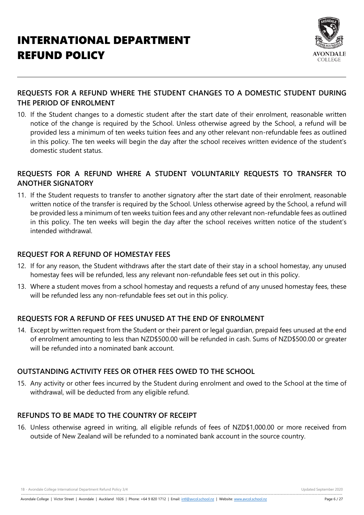

# **REQUESTS FOR A REFUND WHERE THE STUDENT CHANGES TO A DOMESTIC STUDENT DURING THE PERIOD OF ENROLMENT**

10. If the Student changes to a domestic student after the start date of their enrolment, reasonable written notice of the change is required by the School. Unless otherwise agreed by the School, a refund will be provided less a minimum of ten weeks tuition fees and any other relevant non-refundable fees as outlined in this policy. The ten weeks will begin the day after the school receives written evidence of the student's domestic student status.

# **REQUESTS FOR A REFUND WHERE A STUDENT VOLUNTARILY REQUESTS TO TRANSFER TO ANOTHER SIGNATORY**

11. If the Student requests to transfer to another signatory after the start date of their enrolment, reasonable written notice of the transfer is required by the School. Unless otherwise agreed by the School, a refund will be provided less a minimum of ten weeks tuition fees and any other relevant non-refundable fees as outlined in this policy. The ten weeks will begin the day after the school receives written notice of the student's intended withdrawal.

### **REQUEST FOR A REFUND OF HOMESTAY FEES**

- 12. If for any reason, the Student withdraws after the start date of their stay in a school homestay, any unused homestay fees will be refunded, less any relevant non-refundable fees set out in this policy.
- 13. Where a student moves from a school homestay and requests a refund of any unused homestay fees, these will be refunded less any non-refundable fees set out in this policy.

# **REQUESTS FOR A REFUND OF FEES UNUSED AT THE END OF ENROLMENT**

14. Except by written request from the Student or their parent or legal guardian, prepaid fees unused at the end of enrolment amounting to less than NZD\$500.00 will be refunded in cash. Sums of NZD\$500.00 or greater will be refunded into a nominated bank account.

# **OUTSTANDING ACTIVITY FEES OR OTHER FEES OWED TO THE SCHOOL**

15. Any activity or other fees incurred by the Student during enrolment and owed to the School at the time of withdrawal, will be deducted from any eligible refund.

# **REFUNDS TO BE MADE TO THE COUNTRY OF RECEIPT**

16. Unless otherwise agreed in writing, all eligible refunds of fees of NZD\$1,000.00 or more received from outside of New Zealand will be refunded to a nominated bank account in the source country.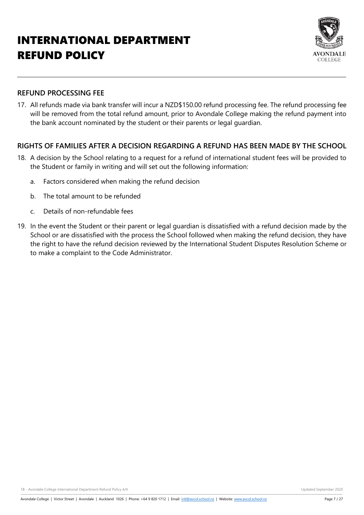# INTERNATIONAL DEPARTMENT REFUND POLICY



#### **REFUND PROCESSING FEE**

17. All refunds made via bank transfer will incur a NZD\$150.00 refund processing fee. The refund processing fee will be removed from the total refund amount, prior to Avondale College making the refund payment into the bank account nominated by the student or their parents or legal guardian.

# **RIGHTS OF FAMILIES AFTER A DECISION REGARDING A REFUND HAS BEEN MADE BY THE SCHOOL**

- 18. A decision by the School relating to a request for a refund of international student fees will be provided to the Student or family in writing and will set out the following information:
	- a. Factors considered when making the refund decision
	- b. The total amount to be refunded
	- c. Details of non-refundable fees
- 19. In the event the Student or their parent or legal guardian is dissatisfied with a refund decision made by the School or are dissatisfied with the process the School followed when making the refund decision, they have the right to have the refund decision reviewed by the International Student Disputes Resolution Scheme or to make a complaint to the Code Administrator.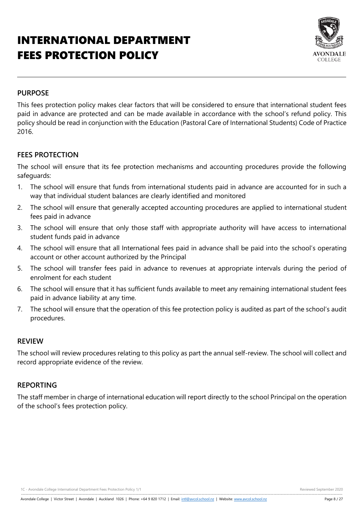# INTERNATIONAL DEPARTMENT FEES PROTECTION POLICY



#### **PURPOSE**

This fees protection policy makes clear factors that will be considered to ensure that international student fees paid in advance are protected and can be made available in accordance with the school's refund policy. This policy should be read in conjunction with the Education (Pastoral Care of International Students) Code of Practice 2016.

#### **FEES PROTECTION**

The school will ensure that its fee protection mechanisms and accounting procedures provide the following safeguards:

- 1. The school will ensure that funds from international students paid in advance are accounted for in such a way that individual student balances are clearly identified and monitored
- 2. The school will ensure that generally accepted accounting procedures are applied to international student fees paid in advance
- 3. The school will ensure that only those staff with appropriate authority will have access to international student funds paid in advance
- 4. The school will ensure that all International fees paid in advance shall be paid into the school's operating account or other account authorized by the Principal
- 5. The school will transfer fees paid in advance to revenues at appropriate intervals during the period of enrolment for each student
- 6. The school will ensure that it has sufficient funds available to meet any remaining international student fees paid in advance liability at any time.
- 7. The school will ensure that the operation of this fee protection policy is audited as part of the school's audit procedures.

#### **REVIEW**

The school will review procedures relating to this policy as part the annual self-review. The school will collect and record appropriate evidence of the review.

#### **REPORTING**

The staff member in charge of international education will report directly to the school Principal on the operation of the school's fees protection policy.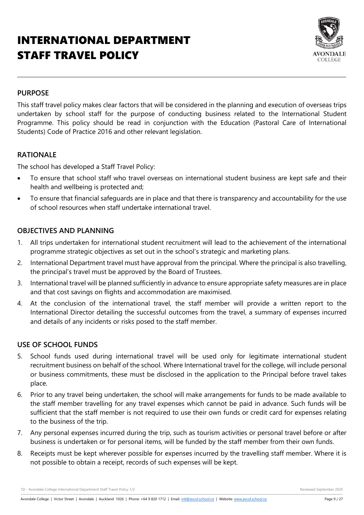# INTERNATIONAL DEPARTMENT STAFF TRAVEL POLICY



#### **PURPOSE**

This staff travel policy makes clear factors that will be considered in the planning and execution of overseas trips undertaken by school staff for the purpose of conducting business related to the International Student Programme. This policy should be read in conjunction with the Education (Pastoral Care of International Students) Code of Practice 2016 and other relevant legislation.

#### **RATIONALE**

The school has developed a Staff Travel Policy:

- To ensure that school staff who travel overseas on international student business are kept safe and their health and wellbeing is protected and;
- To ensure that financial safeguards are in place and that there is transparency and accountability for the use of school resources when staff undertake international travel.

#### **OBJECTIVES AND PLANNING**

- 1. All trips undertaken for international student recruitment will lead to the achievement of the international programme strategic objectives as set out in the school's strategic and marketing plans.
- 2. International Department travel must have approval from the principal. Where the principal is also travelling, the principal's travel must be approved by the Board of Trustees.
- 3. International travel will be planned sufficiently in advance to ensure appropriate safety measures are in place and that cost savings on flights and accommodation are maximised.
- 4. At the conclusion of the international travel, the staff member will provide a written report to the International Director detailing the successful outcomes from the travel, a summary of expenses incurred and details of any incidents or risks posed to the staff member.

# **USE OF SCHOOL FUNDS**

- 5. School funds used during international travel will be used only for legitimate international student recruitment business on behalf of the school. Where International travel for the college, will include personal or business commitments, these must be disclosed in the application to the Principal before travel takes place.
- 6. Prior to any travel being undertaken, the school will make arrangements for funds to be made available to the staff member travelling for any travel expenses which cannot be paid in advance. Such funds will be sufficient that the staff member is not required to use their own funds or credit card for expenses relating to the business of the trip.
- 7. Any personal expenses incurred during the trip, such as tourism activities or personal travel before or after business is undertaken or for personal items, will be funded by the staff member from their own funds.
- 8. Receipts must be kept wherever possible for expenses incurred by the travelling staff member. Where it is not possible to obtain a receipt, records of such expenses will be kept.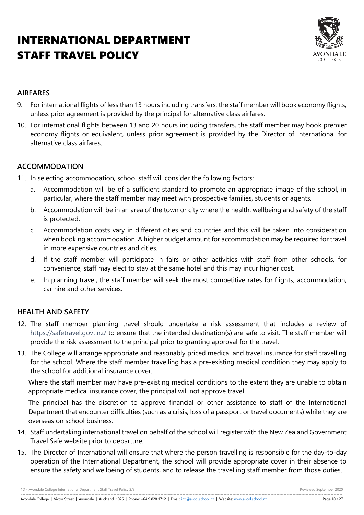# INTERNATIONAL DEPARTMENT STAFF TRAVEL POLICY



# **AIRFARES**

- 9. For international flights of less than 13 hours including transfers, the staff member will book economy flights, unless prior agreement is provided by the principal for alternative class airfares.
- 10. For international flights between 13 and 20 hours including transfers, the staff member may book premier economy flights or equivalent, unless prior agreement is provided by the Director of International for alternative class airfares.

# **ACCOMMODATION**

- 11. In selecting accommodation, school staff will consider the following factors:
	- a. Accommodation will be of a sufficient standard to promote an appropriate image of the school, in particular, where the staff member may meet with prospective families, students or agents.
	- b. Accommodation will be in an area of the town or city where the health, wellbeing and safety of the staff is protected.
	- c. Accommodation costs vary in different cities and countries and this will be taken into consideration when booking accommodation. A higher budget amount for accommodation may be required for travel in more expensive countries and cities.
	- d. If the staff member will participate in fairs or other activities with staff from other schools, for convenience, staff may elect to stay at the same hotel and this may incur higher cost.
	- e. In planning travel, the staff member will seek the most competitive rates for flights, accommodation, car hire and other services.

# **HEALTH AND SAFETY**

- 12. The staff member planning travel should undertake a risk assessment that includes a review of <https://safetravel.govt.nz/> to ensure that the intended destination(s) are safe to visit. The staff member will provide the risk assessment to the principal prior to granting approval for the travel.
- 13. The College will arrange appropriate and reasonably priced medical and travel insurance for staff travelling for the school. Where the staff member travelling has a pre-existing medical condition they may apply to the school for additional insurance cover.

Where the staff member may have pre-existing medical conditions to the extent they are unable to obtain appropriate medical insurance cover, the principal will not approve travel.

The principal has the discretion to approve financial or other assistance to staff of the International Department that encounter difficulties (such as a crisis, loss of a passport or travel documents) while they are overseas on school business.

- 14. Staff undertaking international travel on behalf of the school will register with the New Zealand Government Travel Safe website prior to departure.
- 15. The Director of International will ensure that where the person travelling is responsible for the day-to-day operation of the International Department, the school will provide appropriate cover in their absence to ensure the safety and wellbeing of students, and to release the travelling staff member from those duties.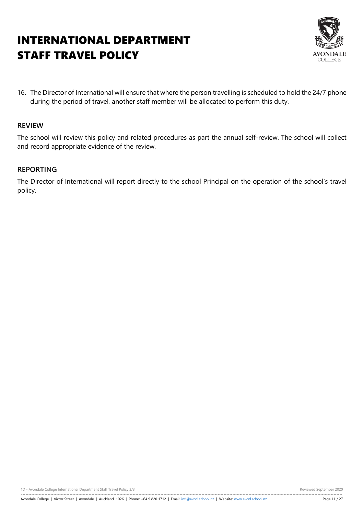# INTERNATIONAL DEPARTMENT STAFF TRAVEL POLICY



16. The Director of International will ensure that where the person travelling is scheduled to hold the 24/7 phone during the period of travel, another staff member will be allocated to perform this duty.

#### **REVIEW**

The school will review this policy and related procedures as part the annual self-review. The school will collect and record appropriate evidence of the review.

#### **REPORTING**

The Director of International will report directly to the school Principal on the operation of the school's travel policy.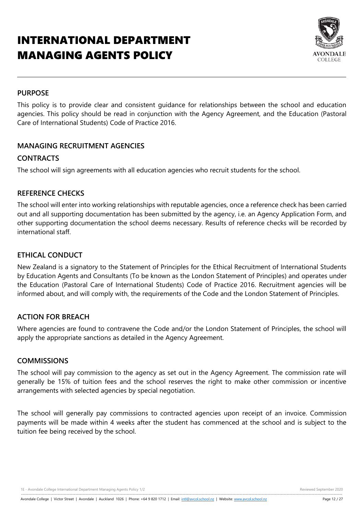# INTERNATIONAL DEPARTMENT MANAGING AGENTS POLICY



### **PURPOSE**

This policy is to provide clear and consistent guidance for relationships between the school and education agencies. This policy should be read in conjunction with the Agency Agreement, and the Education (Pastoral Care of International Students) Code of Practice 2016.

# **MANAGING RECRUITMENT AGENCIES**

# **CONTRACTS**

The school will sign agreements with all education agencies who recruit students for the school.

#### **REFERENCE CHECKS**

The school will enter into working relationships with reputable agencies, once a reference check has been carried out and all supporting documentation has been submitted by the agency, i.e. an Agency Application Form, and other supporting documentation the school deems necessary. Results of reference checks will be recorded by international staff.

# **ETHICAL CONDUCT**

New Zealand is a signatory to the Statement of Principles for the Ethical Recruitment of International Students by Education Agents and Consultants (To be known as the London Statement of Principles) and operates under the Education (Pastoral Care of International Students) Code of Practice 2016. Recruitment agencies will be informed about, and will comply with, the requirements of the Code and the London Statement of Principles.

# **ACTION FOR BREACH**

Where agencies are found to contravene the Code and/or the London Statement of Principles, the school will apply the appropriate sanctions as detailed in the Agency Agreement.

#### **COMMISSIONS**

The school will pay commission to the agency as set out in the Agency Agreement. The commission rate will generally be 15% of tuition fees and the school reserves the right to make other commission or incentive arrangements with selected agencies by special negotiation.

The school will generally pay commissions to contracted agencies upon receipt of an invoice. Commission payments will be made within 4 weeks after the student has commenced at the school and is subject to the tuition fee being received by the school.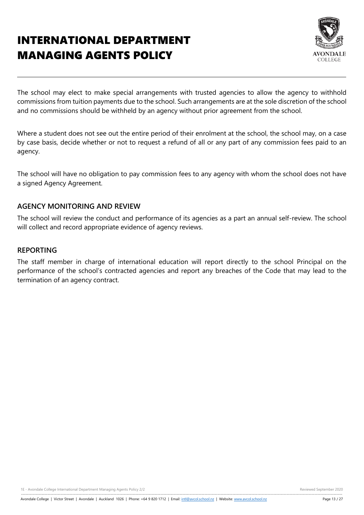# INTERNATIONAL DEPARTMENT MANAGING AGENTS POLICY



The school may elect to make special arrangements with trusted agencies to allow the agency to withhold commissions from tuition payments due to the school. Such arrangements are at the sole discretion of the school and no commissions should be withheld by an agency without prior agreement from the school.

Where a student does not see out the entire period of their enrolment at the school, the school may, on a case by case basis, decide whether or not to request a refund of all or any part of any commission fees paid to an agency.

The school will have no obligation to pay commission fees to any agency with whom the school does not have a signed Agency Agreement.

#### **AGENCY MONITORING AND REVIEW**

The school will review the conduct and performance of its agencies as a part an annual self-review. The school will collect and record appropriate evidence of agency reviews.

#### **REPORTING**

The staff member in charge of international education will report directly to the school Principal on the performance of the school's contracted agencies and report any breaches of the Code that may lead to the termination of an agency contract.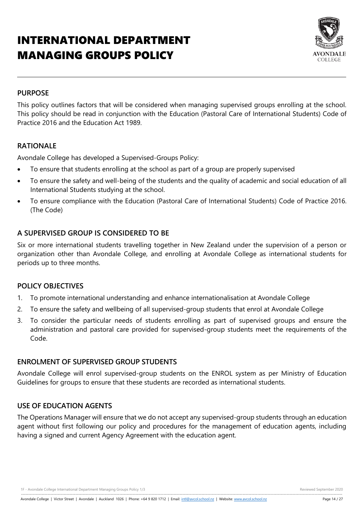# INTERNATIONAL DEPARTMENT MANAGING GROUPS POLICY



### **PURPOSE**

This policy outlines factors that will be considered when managing supervised groups enrolling at the school. This policy should be read in conjunction with the Education (Pastoral Care of International Students) Code of Practice 2016 and the Education Act 1989.

# **RATIONALE**

Avondale College has developed a Supervised-Groups Policy:

- To ensure that students enrolling at the school as part of a group are properly supervised
- To ensure the safety and well-being of the students and the quality of academic and social education of all International Students studying at the school.
- To ensure compliance with the Education (Pastoral Care of International Students) Code of Practice 2016. (The Code)

#### **A SUPERVISED GROUP IS CONSIDERED TO BE**

Six or more international students travelling together in New Zealand under the supervision of a person or organization other than Avondale College, and enrolling at Avondale College as international students for periods up to three months.

#### **POLICY OBJECTIVES**

- 1. To promote international understanding and enhance internationalisation at Avondale College
- 2. To ensure the safety and wellbeing of all supervised-group students that enrol at Avondale College
- 3. To consider the particular needs of students enrolling as part of supervised groups and ensure the administration and pastoral care provided for supervised-group students meet the requirements of the Code.

#### **ENROLMENT OF SUPERVISED GROUP STUDENTS**

Avondale College will enrol supervised-group students on the ENROL system as per Ministry of Education Guidelines for groups to ensure that these students are recorded as international students.

### **USE OF EDUCATION AGENTS**

The Operations Manager will ensure that we do not accept any supervised-group students through an education agent without first following our policy and procedures for the management of education agents, including having a signed and current Agency Agreement with the education agent.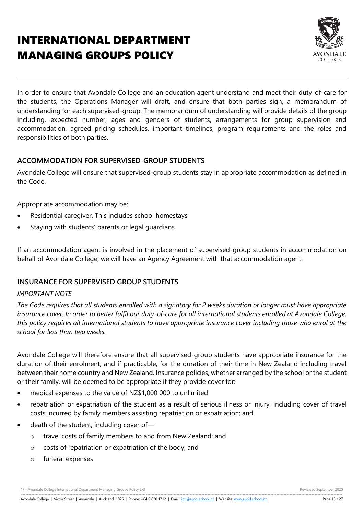# INTERNATIONAL DEPARTMENT MANAGING GROUPS POLICY



In order to ensure that Avondale College and an education agent understand and meet their duty-of-care for the students, the Operations Manager will draft, and ensure that both parties sign, a memorandum of understanding for each supervised-group. The memorandum of understanding will provide details of the group including, expected number, ages and genders of students, arrangements for group supervision and accommodation, agreed pricing schedules, important timelines, program requirements and the roles and responsibilities of both parties.

# **ACCOMMODATION FOR SUPERVISED-GROUP STUDENTS**

Avondale College will ensure that supervised-group students stay in appropriate accommodation as defined in the Code.

Appropriate accommodation may be:

- Residential caregiver. This includes school homestays
- Staying with students' parents or legal guardians

If an accommodation agent is involved in the placement of supervised-group students in accommodation on behalf of Avondale College, we will have an Agency Agreement with that accommodation agent.

# **INSURANCE FOR SUPERVISED GROUP STUDENTS**

#### *IMPORTANT NOTE*

*The Code requires that all students enrolled with a signatory for 2 weeks duration or longer must have appropriate insurance cover. In order to better fulfil our duty-of-care for all international students enrolled at Avondale College, this policy requires all international students to have appropriate insurance cover including those who enrol at the school for less than two weeks.*

Avondale College will therefore ensure that all supervised-group students have appropriate insurance for the duration of their enrolment, and if practicable, for the duration of their time in New Zealand including travel between their home country and New Zealand. Insurance policies, whether arranged by the school or the student or their family, will be deemed to be appropriate if they provide cover for:

- medical expenses to the value of NZ\$1,000 000 to unlimited
- repatriation or expatriation of the student as a result of serious illness or injury, including cover of travel costs incurred by family members assisting repatriation or expatriation; and
- death of the student, including cover of
	- o travel costs of family members to and from New Zealand; and
	- o costs of repatriation or expatriation of the body; and
	- o funeral expenses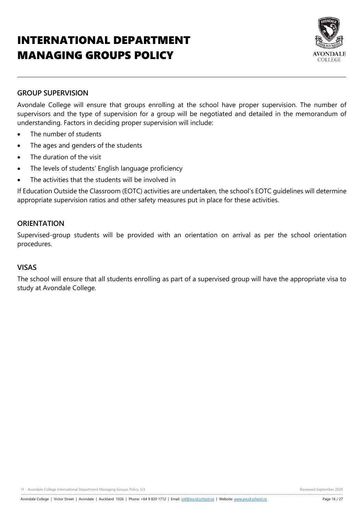# INTERNATIONAL DEPARTMENT MANAGING GROUPS POLICY



#### **GROUP SUPERVISION**

Avondale College will ensure that groups enrolling at the school have proper supervision. The number of supervisors and the type of supervision for a group will be negotiated and detailed in the memorandum of understanding. Factors in deciding proper supervision will include:

- The number of students
- The ages and genders of the students
- The duration of the visit
- The levels of students' English language proficiency
- The activities that the students will be involved in

If Education Outside the Classroom (EOTC) activities are undertaken, the school's EOTC guidelines will determine appropriate supervision ratios and other safety measures put in place for these activities.

#### **ORIENTATION**

Supervised-group students will be provided with an orientation on arrival as per the school orientation procedures.

# **VISAS**

The school will ensure that all students enrolling as part of a supervised group will have the appropriate visa to study at Avondale College.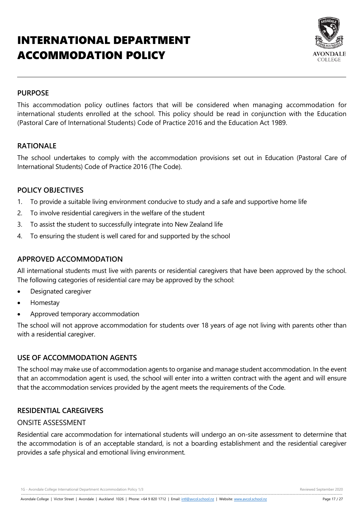# INTERNATIONAL DEPARTMENT ACCOMMODATION POLICY



#### **PURPOSE**

This accommodation policy outlines factors that will be considered when managing accommodation for international students enrolled at the school. This policy should be read in conjunction with the Education (Pastoral Care of International Students) Code of Practice 2016 and the Education Act 1989.

# **RATIONALE**

The school undertakes to comply with the accommodation provisions set out in Education (Pastoral Care of International Students) Code of Practice 2016 (The Code).

#### **POLICY OBJECTIVES**

- 1. To provide a suitable living environment conducive to study and a safe and supportive home life
- 2. To involve residential caregivers in the welfare of the student
- 3. To assist the student to successfully integrate into New Zealand life
- 4. To ensuring the student is well cared for and supported by the school

#### **APPROVED ACCOMMODATION**

All international students must live with parents or residential caregivers that have been approved by the school. The following categories of residential care may be approved by the school:

- Designated caregiver
- Homestay
- Approved temporary accommodation

The school will not approve accommodation for students over 18 years of age not living with parents other than with a residential caregiver.

#### **USE OF ACCOMMODATION AGENTS**

The school may make use of accommodation agents to organise and manage student accommodation. In the event that an accommodation agent is used, the school will enter into a written contract with the agent and will ensure that the accommodation services provided by the agent meets the requirements of the Code.

#### **RESIDENTIAL CAREGIVERS**

#### ONSITE ASSESSMENT

Residential care accommodation for international students will undergo an on-site assessment to determine that the accommodation is of an acceptable standard, is not a boarding establishment and the residential caregiver provides a safe physical and emotional living environment.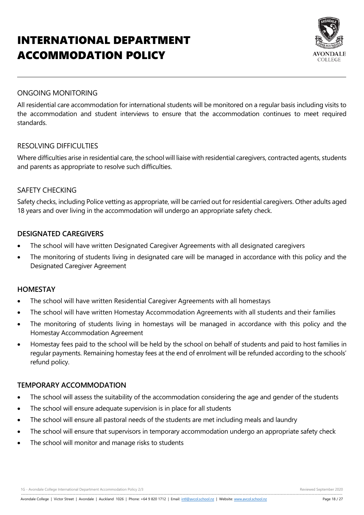# INTERNATIONAL DEPARTMENT ACCOMMODATION POLICY



### ONGOING MONITORING

All residential care accommodation for international students will be monitored on a regular basis including visits to the accommodation and student interviews to ensure that the accommodation continues to meet required standards.

# RESOLVING DIFFICULTIES

Where difficulties arise in residential care, the school will liaise with residential caregivers, contracted agents, students and parents as appropriate to resolve such difficulties.

#### SAFETY CHECKING

Safety checks, including Police vetting as appropriate, will be carried out for residential caregivers. Other adults aged 18 years and over living in the accommodation will undergo an appropriate safety check.

#### **DESIGNATED CAREGIVERS**

- The school will have written Designated Caregiver Agreements with all designated caregivers
- The monitoring of students living in designated care will be managed in accordance with this policy and the Designated Caregiver Agreement

#### **HOMESTAY**

- The school will have written Residential Caregiver Agreements with all homestays
- The school will have written Homestay Accommodation Agreements with all students and their families
- The monitoring of students living in homestays will be managed in accordance with this policy and the Homestay Accommodation Agreement
- Homestay fees paid to the school will be held by the school on behalf of students and paid to host families in regular payments. Remaining homestay fees at the end of enrolment will be refunded according to the schools' refund policy.

#### **TEMPORARY ACCOMMODATION**

- The school will assess the suitability of the accommodation considering the age and gender of the students
- The school will ensure adequate supervision is in place for all students
- The school will ensure all pastoral needs of the students are met including meals and laundry
- The school will ensure that supervisors in temporary accommodation undergo an appropriate safety check
- The school will monitor and manage risks to students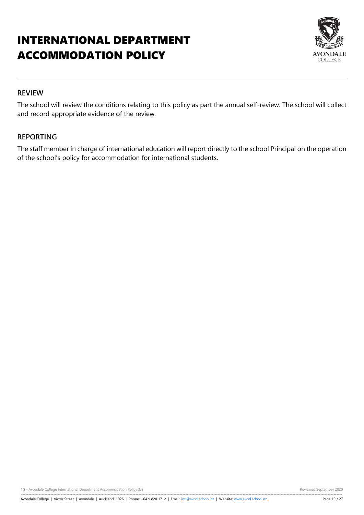# INTERNATIONAL DEPARTMENT ACCOMMODATION POLICY



### **REVIEW**

The school will review the conditions relating to this policy as part the annual self-review. The school will collect and record appropriate evidence of the review.

#### **REPORTING**

The staff member in charge of international education will report directly to the school Principal on the operation of the school's policy for accommodation for international students.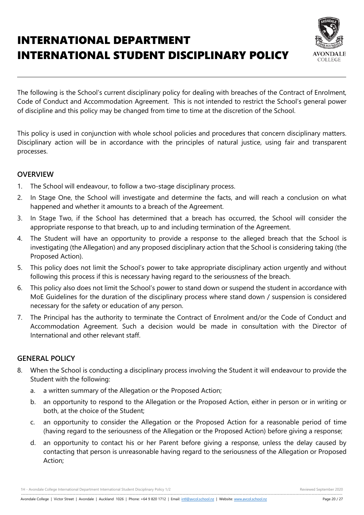# INTERNATIONAL DEPARTMENT INTERNATIONAL STUDENT DISCIPLINARY POLICY



The following is the School's current disciplinary policy for dealing with breaches of the Contract of Enrolment, Code of Conduct and Accommodation Agreement. This is not intended to restrict the School's general power of discipline and this policy may be changed from time to time at the discretion of the School.

This policy is used in conjunction with whole school policies and procedures that concern disciplinary matters. Disciplinary action will be in accordance with the principles of natural justice, using fair and transparent processes.

#### **OVERVIEW**

- 1. The School will endeavour, to follow a two-stage disciplinary process.
- 2. In Stage One, the School will investigate and determine the facts, and will reach a conclusion on what happened and whether it amounts to a breach of the Agreement.
- 3. In Stage Two, if the School has determined that a breach has occurred, the School will consider the appropriate response to that breach, up to and including termination of the Agreement.
- 4. The Student will have an opportunity to provide a response to the alleged breach that the School is investigating (the Allegation) and any proposed disciplinary action that the School is considering taking (the Proposed Action).
- 5. This policy does not limit the School's power to take appropriate disciplinary action urgently and without following this process if this is necessary having regard to the seriousness of the breach.
- 6. This policy also does not limit the School's power to stand down or suspend the student in accordance with MoE Guidelines for the duration of the disciplinary process where stand down / suspension is considered necessary for the safety or education of any person.
- 7. The Principal has the authority to terminate the Contract of Enrolment and/or the Code of Conduct and Accommodation Agreement. Such a decision would be made in consultation with the Director of International and other relevant staff.

# **GENERAL POLICY**

- 8. When the School is conducting a disciplinary process involving the Student it will endeavour to provide the Student with the following:
	- a. a written summary of the Allegation or the Proposed Action;
	- b. an opportunity to respond to the Allegation or the Proposed Action, either in person or in writing or both, at the choice of the Student;
	- c. an opportunity to consider the Allegation or the Proposed Action for a reasonable period of time (having regard to the seriousness of the Allegation or the Proposed Action) before giving a response;
	- d. an opportunity to contact his or her Parent before giving a response, unless the delay caused by contacting that person is unreasonable having regard to the seriousness of the Allegation or Proposed Action;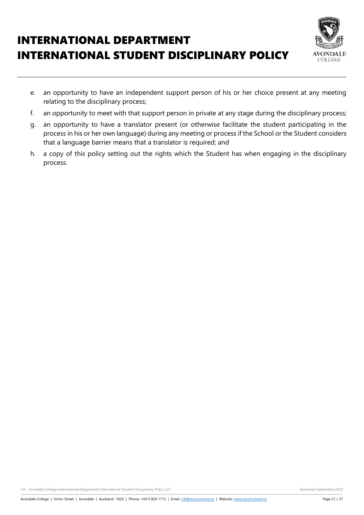# INTERNATIONAL DEPARTMENT INTERNATIONAL STUDENT DISCIPLINARY POLICY



- e. an opportunity to have an independent support person of his or her choice present at any meeting relating to the disciplinary process;
- f. an opportunity to meet with that support person in private at any stage during the disciplinary process;
- g. an opportunity to have a translator present (or otherwise facilitate the student participating in the process in his or her own language) during any meeting or process if the School or the Student considers that a language barrier means that a translator is required; and
- h. a copy of this policy setting out the rights which the Student has when engaging in the disciplinary process.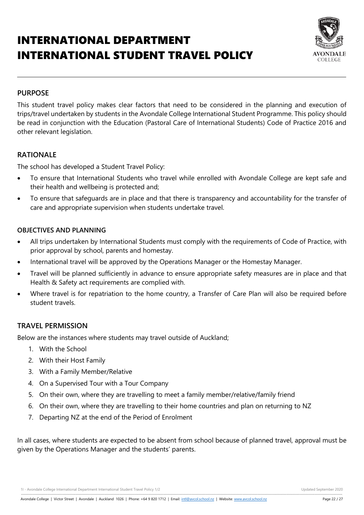# INTERNATIONAL DEPARTMENT INTERNATIONAL STUDENT TRAVEL POLICY



#### **PURPOSE**

This student travel policy makes clear factors that need to be considered in the planning and execution of trips/travel undertaken by students in the Avondale College International Student Programme. This policy should be read in conjunction with the Education (Pastoral Care of International Students) Code of Practice 2016 and other relevant legislation.

#### **RATIONALE**

The school has developed a Student Travel Policy:

- To ensure that International Students who travel while enrolled with Avondale College are kept safe and their health and wellbeing is protected and;
- To ensure that safeguards are in place and that there is transparency and accountability for the transfer of care and appropriate supervision when students undertake travel.

#### **OBJECTIVES AND PLANNING**

- All trips undertaken by International Students must comply with the requirements of Code of Practice, with prior approval by school, parents and homestay.
- International travel will be approved by the Operations Manager or the Homestay Manager.
- Travel will be planned sufficiently in advance to ensure appropriate safety measures are in place and that Health & Safety act requirements are complied with.
- Where travel is for repatriation to the home country, a Transfer of Care Plan will also be required before student travels.

#### **TRAVEL PERMISSION**

Below are the instances where students may travel outside of Auckland;

- 1. With the School
- 2. With their Host Family
- 3. With a Family Member/Relative
- 4. On a Supervised Tour with a Tour Company
- 5. On their own, where they are travelling to meet a family member/relative/family friend
- 6. On their own, where they are travelling to their home countries and plan on returning to NZ
- 7. Departing NZ at the end of the Period of Enrolment

In all cases, where students are expected to be absent from school because of planned travel, approval must be given by the Operations Manager and the students' parents.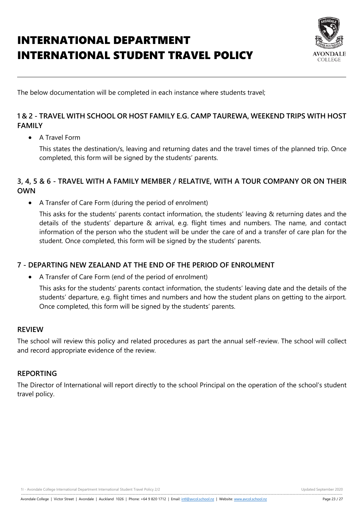# INTERNATIONAL DEPARTMENT INTERNATIONAL STUDENT TRAVEL POLICY



The below documentation will be completed in each instance where students travel;

# **1 & 2 - TRAVEL WITH SCHOOL OR HOST FAMILY E.G. CAMP TAUREWA, WEEKEND TRIPS WITH HOST FAMILY**

A Travel Form

This states the destination/s, leaving and returning dates and the travel times of the planned trip. Once completed, this form will be signed by the students' parents.

# **3, 4, 5 & 6 - TRAVEL WITH A FAMILY MEMBER / RELATIVE, WITH A TOUR COMPANY OR ON THEIR OWN**

A Transfer of Care Form (during the period of enrolment)

This asks for the students' parents contact information, the students' leaving & returning dates and the details of the students' departure & arrival, e.g. flight times and numbers. The name, and contact information of the person who the student will be under the care of and a transfer of care plan for the student. Once completed, this form will be signed by the students' parents.

# **7 - DEPARTING NEW ZEALAND AT THE END OF THE PERIOD OF ENROLMENT**

A Transfer of Care Form (end of the period of enrolment)

This asks for the students' parents contact information, the students' leaving date and the details of the students' departure, e.g. flight times and numbers and how the student plans on getting to the airport. Once completed, this form will be signed by the students' parents.

#### **REVIEW**

The school will review this policy and related procedures as part the annual self-review. The school will collect and record appropriate evidence of the review.

#### **REPORTING**

The Director of International will report directly to the school Principal on the operation of the school's student travel policy.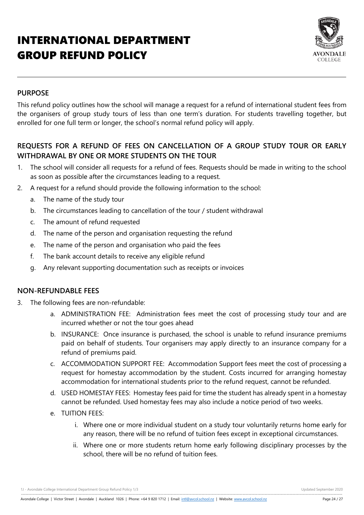# INTERNATIONAL DEPARTMENT GROUP REFUND POLICY



# **PURPOSE**

This refund policy outlines how the school will manage a request for a refund of international student fees from the organisers of group study tours of less than one term's duration. For students travelling together, but enrolled for one full term or longer, the school's normal refund policy will apply.

# **REQUESTS FOR A REFUND OF FEES ON CANCELLATION OF A GROUP STUDY TOUR OR EARLY WITHDRAWAL BY ONE OR MORE STUDENTS ON THE TOUR**

- 1. The school will consider all requests for a refund of fees. Requests should be made in writing to the school as soon as possible after the circumstances leading to a request.
- 2. A request for a refund should provide the following information to the school:
	- a. The name of the study tour
	- b. The circumstances leading to cancellation of the tour / student withdrawal
	- c. The amount of refund requested
	- d. The name of the person and organisation requesting the refund
	- e. The name of the person and organisation who paid the fees
	- f. The bank account details to receive any eligible refund
	- g. Any relevant supporting documentation such as receipts or invoices

#### **NON-REFUNDABLE FEES**

- 3. The following fees are non-refundable:
	- a. ADMINISTRATION FEE: Administration fees meet the cost of processing study tour and are incurred whether or not the tour goes ahead
	- b. INSURANCE: Once insurance is purchased, the school is unable to refund insurance premiums paid on behalf of students. Tour organisers may apply directly to an insurance company for a refund of premiums paid.
	- c. ACCOMMODATION SUPPORT FEE: Accommodation Support fees meet the cost of processing a request for homestay accommodation by the student. Costs incurred for arranging homestay accommodation for international students prior to the refund request, cannot be refunded.
	- d. USED HOMESTAY FEES: Homestay fees paid for time the student has already spent in a homestay cannot be refunded. Used homestay fees may also include a notice period of two weeks.
	- e. TUITION FEES:
		- i. Where one or more individual student on a study tour voluntarily returns home early for any reason, there will be no refund of tuition fees except in exceptional circumstances.
		- ii. Where one or more students return home early following disciplinary processes by the school, there will be no refund of tuition fees.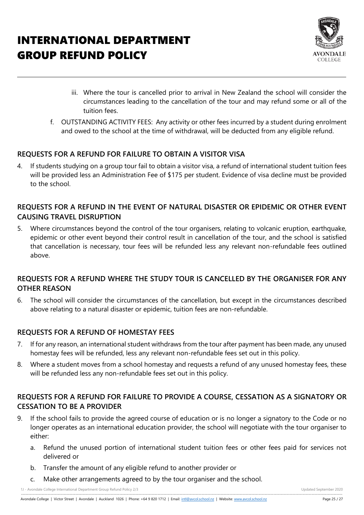# INTERNATIONAL DEPARTMENT GROUP REFUND POLICY



- iii. Where the tour is cancelled prior to arrival in New Zealand the school will consider the circumstances leading to the cancellation of the tour and may refund some or all of the tuition fees.
- f. OUTSTANDING ACTIVITY FEES: Any activity or other fees incurred by a student during enrolment and owed to the school at the time of withdrawal, will be deducted from any eligible refund.

# **REQUESTS FOR A REFUND FOR FAILURE TO OBTAIN A VISITOR VISA**

4. If students studying on a group tour fail to obtain a visitor visa, a refund of international student tuition fees will be provided less an Administration Fee of \$175 per student. Evidence of visa decline must be provided to the school.

# **REQUESTS FOR A REFUND IN THE EVENT OF NATURAL DISASTER OR EPIDEMIC OR OTHER EVENT CAUSING TRAVEL DISRUPTION**

5. Where circumstances beyond the control of the tour organisers, relating to volcanic eruption, earthquake, epidemic or other event beyond their control result in cancellation of the tour, and the school is satisfied that cancellation is necessary, tour fees will be refunded less any relevant non-refundable fees outlined above.

# **REQUESTS FOR A REFUND WHERE THE STUDY TOUR IS CANCELLED BY THE ORGANISER FOR ANY OTHER REASON**

6. The school will consider the circumstances of the cancellation, but except in the circumstances described above relating to a natural disaster or epidemic, tuition fees are non-refundable.

# **REQUESTS FOR A REFUND OF HOMESTAY FEES**

- 7. If for any reason, an international student withdraws from the tour after payment has been made, any unused homestay fees will be refunded, less any relevant non-refundable fees set out in this policy.
- 8. Where a student moves from a school homestay and requests a refund of any unused homestay fees, these will be refunded less any non-refundable fees set out in this policy.

# **REQUESTS FOR A REFUND FOR FAILURE TO PROVIDE A COURSE, CESSATION AS A SIGNATORY OR CESSATION TO BE A PROVIDER**

- 9. If the school fails to provide the agreed course of education or is no longer a signatory to the Code or no longer operates as an international education provider, the school will negotiate with the tour organiser to either:
	- a. Refund the unused portion of international student tuition fees or other fees paid for services not delivered or
	- b. Transfer the amount of any eligible refund to another provider or
	- c. Make other arrangements agreed to by the tour organiser and the school.

1J - Avondale College International Department Group Refund Policy 2/3 Updated September 2020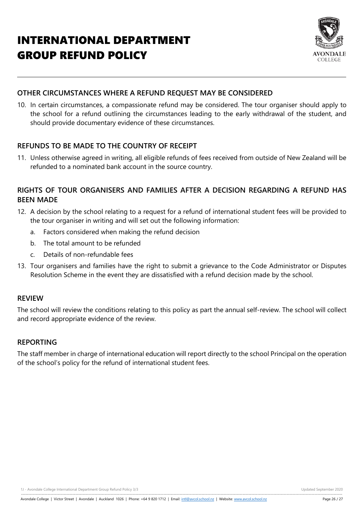# INTERNATIONAL DEPARTMENT GROUP REFUND POLICY



# **OTHER CIRCUMSTANCES WHERE A REFUND REQUEST MAY BE CONSIDERED**

10. In certain circumstances, a compassionate refund may be considered. The tour organiser should apply to the school for a refund outlining the circumstances leading to the early withdrawal of the student, and should provide documentary evidence of these circumstances.

# **REFUNDS TO BE MADE TO THE COUNTRY OF RECEIPT**

11. Unless otherwise agreed in writing, all eligible refunds of fees received from outside of New Zealand will be refunded to a nominated bank account in the source country.

# **RIGHTS OF TOUR ORGANISERS AND FAMILIES AFTER A DECISION REGARDING A REFUND HAS BEEN MADE**

- 12. A decision by the school relating to a request for a refund of international student fees will be provided to the tour organiser in writing and will set out the following information:
	- a. Factors considered when making the refund decision
	- b. The total amount to be refunded
	- c. Details of non-refundable fees
- 13. Tour organisers and families have the right to submit a grievance to the Code Administrator or Disputes Resolution Scheme in the event they are dissatisfied with a refund decision made by the school.

#### **REVIEW**

The school will review the conditions relating to this policy as part the annual self-review. The school will collect and record appropriate evidence of the review.

#### **REPORTING**

The staff member in charge of international education will report directly to the school Principal on the operation of the school's policy for the refund of international student fees.